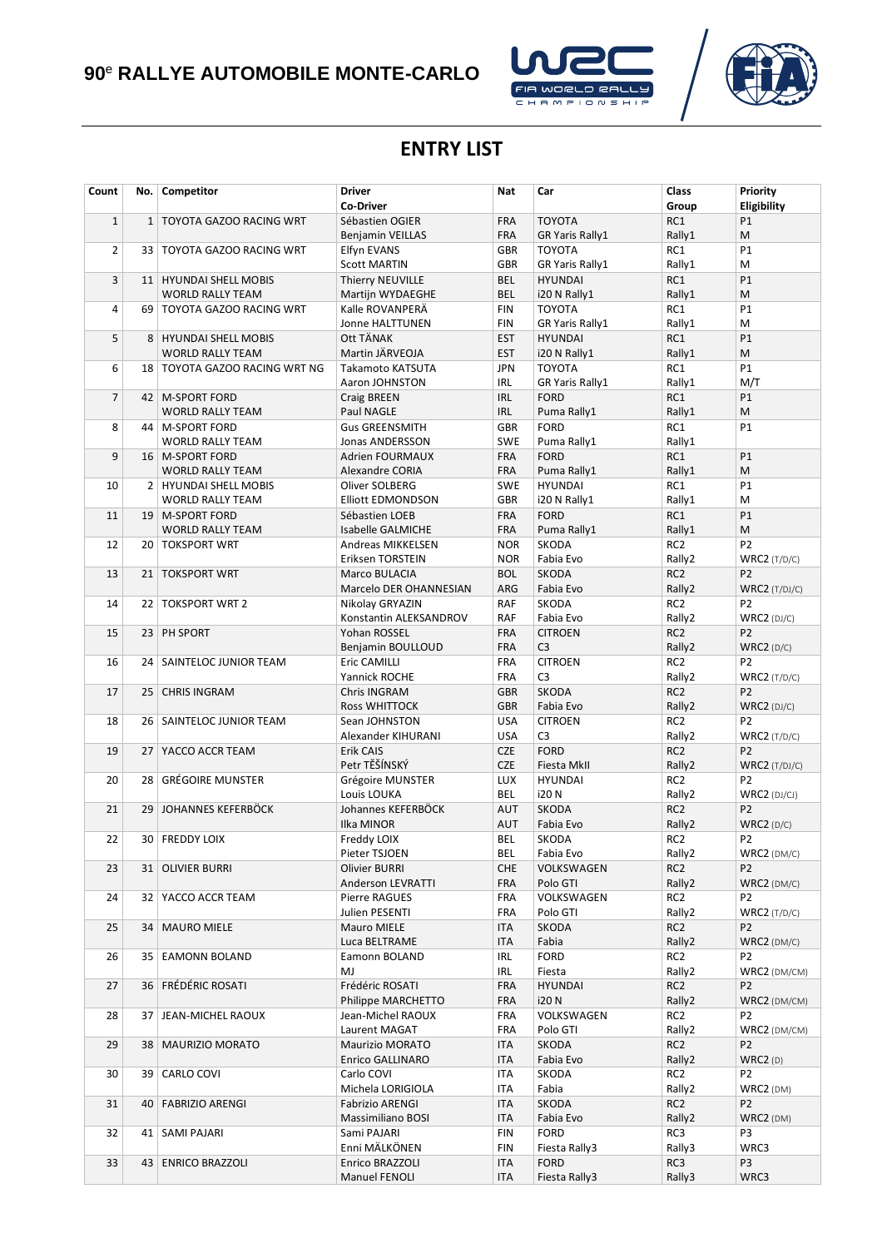# **90**<sup>e</sup> **RALLYE AUTOMOBILE MONTE-CARLO**





### **ENTRY LIST**

| Count          | No.             | Competitor                                   | <b>Driver</b>                             | Nat                      | Car                        | Class                     | Priority                         |
|----------------|-----------------|----------------------------------------------|-------------------------------------------|--------------------------|----------------------------|---------------------------|----------------------------------|
|                |                 |                                              | Co-Driver                                 |                          |                            | Group                     | Eligibility                      |
| $\mathbf{1}$   | $\mathbf{1}$    | TOYOTA GAZOO RACING WRT                      | Sébastien OGIER                           | <b>FRA</b>               | <b>TOYOTA</b>              | RC1                       | <b>P1</b>                        |
|                |                 |                                              | <b>Benjamin VEILLAS</b>                   | <b>FRA</b>               | <b>GR Yaris Rally1</b>     | Rally1                    | М                                |
| $\overline{2}$ | 33 <sup>1</sup> | TOYOTA GAZOO RACING WRT                      | Elfyn EVANS                               | <b>GBR</b>               | <b>TOYOTA</b>              | RC1                       | P1                               |
|                |                 |                                              | <b>Scott MARTIN</b>                       | <b>GBR</b>               | <b>GR Yaris Rally1</b>     | Rally1                    | M                                |
| 3              |                 | 11   HYUNDAI SHELL MOBIS                     | Thierry NEUVILLE                          | <b>BEL</b>               | <b>HYUNDAI</b>             | RC1                       | P1                               |
|                |                 | <b>WORLD RALLY TEAM</b>                      | Martijn WYDAEGHE                          | <b>BEL</b>               | i20 N Rally1               | Rally1                    | M                                |
| 4              |                 | 69   TOYOTA GAZOO RACING WRT                 | Kalle ROVANPERA                           | <b>FIN</b>               | <b>TOYOTA</b>              | RC1                       | P1                               |
|                |                 |                                              | Jonne HALTTUNEN                           | <b>FIN</b>               | <b>GR Yaris Rally1</b>     | Rally1                    | M                                |
| 5              |                 | 8   HYUNDAI SHELL MOBIS                      | Ott TÄNAK                                 | <b>EST</b>               | <b>HYUNDAI</b>             | RC1                       | P1                               |
|                |                 | <b>WORLD RALLY TEAM</b>                      | Martin JÄRVEOJA                           | <b>EST</b>               | i20 N Rally1               | Rally1                    | M                                |
| 6              |                 | 18   TOYOTA GAZOO RACING WRT NG              | Takamoto KATSUTA                          | <b>JPN</b>               | <b>TOYOTA</b>              | RC1                       | P1                               |
|                |                 |                                              | Aaron JOHNSTON                            | <b>IRL</b>               | <b>GR Yaris Rally1</b>     | Rally1                    | M/T                              |
| $\overline{7}$ |                 | 42   M-SPORT FORD                            | Craig BREEN                               | <b>IRL</b>               | <b>FORD</b>                | RC1                       | P1                               |
|                |                 | <b>WORLD RALLY TEAM</b>                      | Paul NAGLE                                | <b>IRL</b>               | Puma Rally1                | Rally1                    | M<br><b>P1</b>                   |
| 8              |                 | 44   M-SPORT FORD                            | <b>Gus GREENSMITH</b>                     | <b>GBR</b><br><b>SWE</b> | <b>FORD</b>                | RC1<br>Rally1             |                                  |
| 9              |                 | <b>WORLD RALLY TEAM</b><br>16   M-SPORT FORD | Jonas ANDERSSON<br><b>Adrien FOURMAUX</b> | <b>FRA</b>               | Puma Rally1<br><b>FORD</b> | RC1                       | <b>P1</b>                        |
|                |                 | <b>WORLD RALLY TEAM</b>                      | Alexandre CORIA                           | <b>FRA</b>               | Puma Rally1                | Rally1                    | M                                |
| 10             |                 | 2   HYUNDAI SHELL MOBIS                      | Oliver SOLBERG                            | <b>SWE</b>               | <b>HYUNDAI</b>             | RC1                       | <b>P1</b>                        |
|                |                 | <b>WORLD RALLY TEAM</b>                      | <b>Elliott EDMONDSON</b>                  | <b>GBR</b>               | i20 N Rally1               | Rally1                    | M                                |
| 11             |                 | 19   M-SPORT FORD                            | Sébastien LOEB                            | <b>FRA</b>               | <b>FORD</b>                | RC1                       | P1                               |
|                |                 | <b>WORLD RALLY TEAM</b>                      | Isabelle GALMICHE                         | <b>FRA</b>               | Puma Rally1                | Rally1                    | M                                |
| 12             | 20 <sup>1</sup> | <b>TOKSPORT WRT</b>                          | Andreas MIKKELSEN                         | <b>NOR</b>               | SKODA                      | RC <sub>2</sub>           | P <sub>2</sub>                   |
|                |                 |                                              | Eriksen TORSTEIN                          | <b>NOR</b>               | Fabia Evo                  | Rally2                    | $WRC2$ (T/D/C)                   |
| 13             | 21              | <b>TOKSPORT WRT</b>                          | Marco BULACIA                             | <b>BOL</b>               | <b>SKODA</b>               | RC <sub>2</sub>           | P <sub>2</sub>                   |
|                |                 |                                              | Marcelo DER OHANNESIAN                    | ARG                      | Fabia Evo                  | Rally2                    | $WRC2$ (T/DJ/C)                  |
| 14             | 22              | <b>TOKSPORT WRT 2</b>                        | Nikolay GRYAZIN                           | <b>RAF</b>               | SKODA                      | RC <sub>2</sub>           | P <sub>2</sub>                   |
|                |                 |                                              | Konstantin ALEKSANDROV                    | <b>RAF</b>               | Fabia Evo                  | Rally2                    | $WRC2$ (DJ/C)                    |
| 15             |                 | 23 PH SPORT                                  | Yohan ROSSEL                              | <b>FRA</b>               | <b>CITROEN</b>             | RC <sub>2</sub>           | P <sub>2</sub>                   |
|                |                 |                                              | Benjamin BOULLOUD                         | <b>FRA</b>               | C <sub>3</sub>             | Rally2                    | WRC2(D/C)                        |
| 16             | 24 <sup>1</sup> | SAINTELOC JUNIOR TEAM                        | Eric CAMILLI                              | <b>FRA</b>               | <b>CITROEN</b>             | RC <sub>2</sub>           | P2                               |
|                |                 |                                              | Yannick ROCHE                             | <b>FRA</b>               | C <sub>3</sub>             | Rally2                    | $WRC2$ (T/D/C)                   |
| 17             | 25              | <b>CHRIS INGRAM</b>                          | Chris INGRAM                              | <b>GBR</b>               | SKODA                      | RC <sub>2</sub>           | P <sub>2</sub>                   |
|                |                 |                                              | <b>Ross WHITTOCK</b>                      | <b>GBR</b>               | Fabia Evo                  | Rally2                    | $WRC2$ (DJ/C)                    |
| 18             |                 | 26   SAINTELOC JUNIOR TEAM                   | Sean JOHNSTON                             | <b>USA</b>               | <b>CITROEN</b>             | RC <sub>2</sub>           | P <sub>2</sub>                   |
|                |                 |                                              | Alexander KIHURANI                        | <b>USA</b>               | C <sub>3</sub>             | Rally2                    | $WRC2$ (T/D/C)                   |
| 19             | 27              | YACCO ACCR TEAM                              | Erik CAIS                                 | <b>CZE</b>               | <b>FORD</b>                | RC <sub>2</sub>           | P <sub>2</sub>                   |
|                |                 |                                              | Petr TĚŠÍNSKÝ                             | <b>CZE</b>               | Fiesta MkII                | Rally2                    | $WRC2$ (T/DJ/C)                  |
| 20             | 28              | <b>GRÉGOIRE MUNSTER</b>                      | Grégoire MUNSTER                          | <b>LUX</b>               | <b>HYUNDAI</b>             | RC <sub>2</sub>           | P <sub>2</sub>                   |
|                |                 |                                              | Louis LOUKA                               | BEL                      | i20 N                      | Rally2                    | $WRC2$ (DJ/CJ)                   |
| 21             | 29              | JOHANNES KEFERBÖCK                           | Johannes KEFERBÖCK                        | <b>AUT</b>               | <b>SKODA</b>               | RC <sub>2</sub>           | P <sub>2</sub>                   |
|                |                 |                                              | Ilka MINOR                                | <b>AUT</b>               | Fabia Evo                  | Rally2                    | WRC2 (D/C)                       |
| 22             |                 | 30   FREDDY LOIX                             | Freddy LOIX                               | <b>BEL</b>               | <b>SKODA</b>               | RC <sub>2</sub>           | P <sub>2</sub>                   |
|                |                 |                                              | Pieter TSJOEN                             | BEL                      | Fabia Evo                  | Rally2                    | $WRC2$ (DM/C)                    |
| 23             |                 | 31 OLIVIER BURRI                             | Olivier BURRI                             | <b>CHE</b>               | VOLKSWAGEN                 | RC <sub>2</sub>           | P <sub>2</sub>                   |
|                |                 |                                              | Anderson LEVRATTI                         | FRA                      | Polo GTI                   | Rally2                    | $WRC2$ (DM/C)                    |
| 24             |                 | 32 YACCO ACCR TEAM                           | Pierre RAGUES<br>Julien PESENTI           | <b>FRA</b><br><b>FRA</b> | VOLKSWAGEN<br>Polo GTI     | RC <sub>2</sub><br>Rally2 | P <sub>2</sub>                   |
| 25             |                 | 34   MAURO MIELE                             | Mauro MIELE                               | ITA                      | SKODA                      | RC <sub>2</sub>           | $WRC2$ (T/D/C)<br>P <sub>2</sub> |
|                |                 |                                              | Luca BELTRAME                             | <b>ITA</b>               | Fabia                      | Rally2                    | $WRC2$ (DM/C)                    |
| 26             |                 | 35   EAMONN BOLAND                           | Eamonn BOLAND                             | IRL                      | <b>FORD</b>                | RC <sub>2</sub>           | P <sub>2</sub>                   |
|                |                 |                                              | MJ                                        | IRL                      | Fiesta                     | Rally2                    | WRC2 (DM/CM)                     |
| 27             |                 | 36 FRÉDÉRIC ROSATI                           | Frédéric ROSATI                           | <b>FRA</b>               | <b>HYUNDAI</b>             | RC <sub>2</sub>           | P <sub>2</sub>                   |
|                |                 |                                              | Philippe MARCHETTO                        | <b>FRA</b>               | <b>i20N</b>                | Rally2                    | WRC2 (DM/CM)                     |
| 28             | 37              | JEAN-MICHEL RAOUX                            | Jean-Michel RAOUX                         | <b>FRA</b>               | VOLKSWAGEN                 | RC <sub>2</sub>           | P <sub>2</sub>                   |
|                |                 |                                              | Laurent MAGAT                             | <b>FRA</b>               | Polo GTI                   | Rally2                    | WRC2 (DM/CM)                     |
| 29             |                 | 38   MAURIZIO MORATO                         | <b>Maurizio MORATO</b>                    | ITA                      | <b>SKODA</b>               | RC <sub>2</sub>           | P <sub>2</sub>                   |
|                |                 |                                              | Enrico GALLINARO                          | <b>ITA</b>               | Fabia Evo                  | Rally2                    | WRC2(D)                          |
| 30             | 39              | CARLO COVI                                   | Carlo COVI                                | <b>ITA</b>               | SKODA                      | RC <sub>2</sub>           | P <sub>2</sub>                   |
|                |                 |                                              | Michela LORIGIOLA                         | <b>ITA</b>               | Fabia                      | Rally2                    | $WRC2$ (DM)                      |
| 31             |                 | 40   FABRIZIO ARENGI                         | <b>Fabrizio ARENGI</b>                    | <b>ITA</b>               | SKODA                      | RC <sub>2</sub>           | P <sub>2</sub>                   |
|                |                 |                                              | Massimiliano BOSI                         | <b>ITA</b>               | Fabia Evo                  | Rally2                    | WRC2 (DM)                        |
| 32             |                 | 41   SAMI PAJARI                             | Sami PAJARI                               | <b>FIN</b>               | <b>FORD</b>                | RC3                       | P3                               |
|                |                 |                                              | Enni MÄLKÖNEN                             | <b>FIN</b>               | Fiesta Rally3              | Rally3                    | WRC3                             |
| 33             |                 | 43   ENRICO BRAZZOLI                         | Enrico BRAZZOLI                           | <b>ITA</b>               | <b>FORD</b>                | RC3                       | P3                               |
|                |                 |                                              | Manuel FENOLI                             | ITA                      | Fiesta Rally3              | Rally3                    | WRC3                             |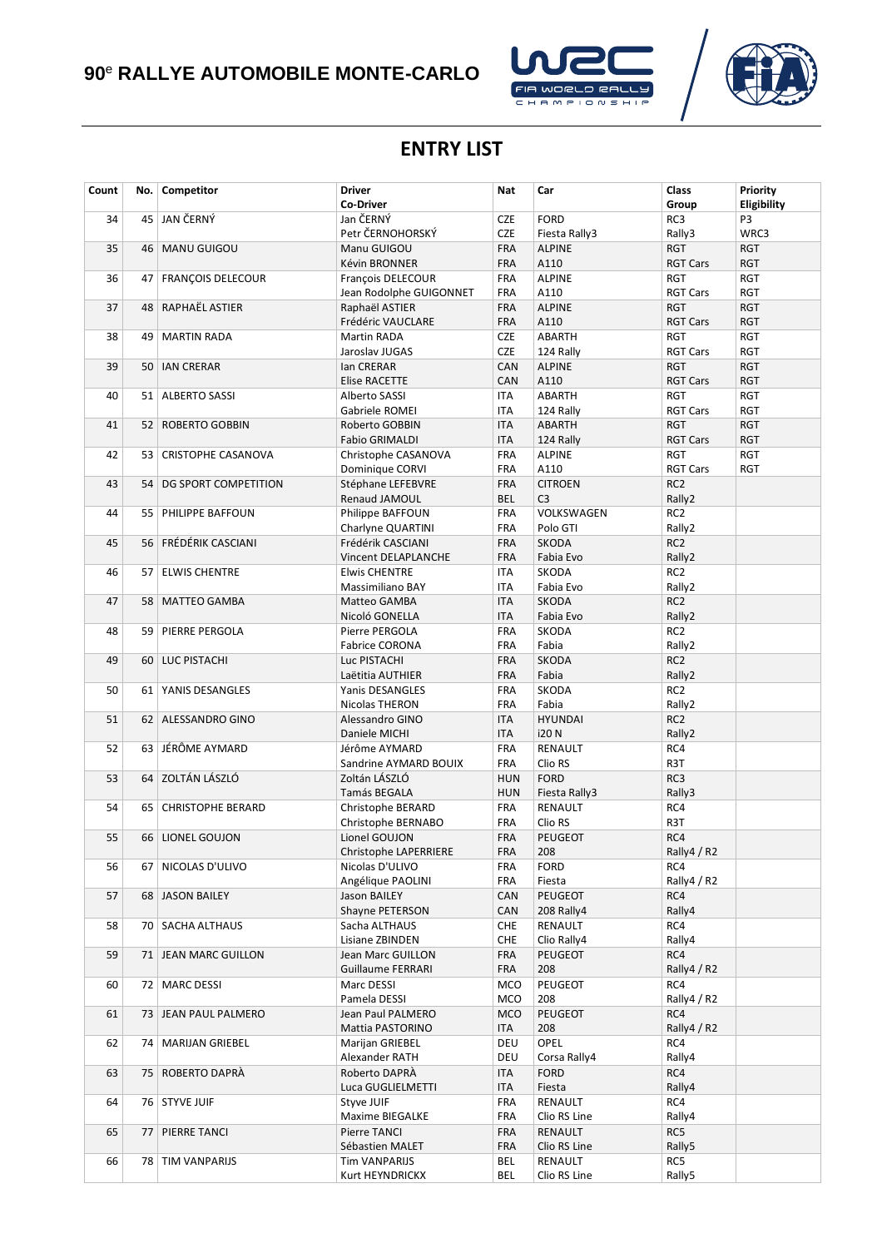## **90**<sup>e</sup> **RALLYE AUTOMOBILE MONTE-CARLO**





### **ENTRY LIST**

| Count | No.             | Competitor               | <b>Driver</b><br><b>Co-Driver</b> | <b>Nat</b> | Car            | Class<br>Group  | Priority<br>Eligibility |
|-------|-----------------|--------------------------|-----------------------------------|------------|----------------|-----------------|-------------------------|
| 34    | 45              | JAN ČERNÝ                | Jan ČERNÝ                         | <b>CZE</b> | <b>FORD</b>    | RC3             | P3                      |
|       |                 |                          | Petr ČERNOHORSKÝ                  | <b>CZE</b> | Fiesta Rally3  | Rally3          | WRC3                    |
| 35    | 46              | <b>MANU GUIGOU</b>       | Manu GUIGOU                       | <b>FRA</b> | <b>ALPINE</b>  | <b>RGT</b>      | RGT                     |
|       |                 |                          | Kévin BRONNER                     | <b>FRA</b> | A110           | <b>RGT Cars</b> | <b>RGT</b>              |
| 36    |                 | 47   FRANÇOIS DELECOUR   | François DELECOUR                 | <b>FRA</b> | <b>ALPINE</b>  | <b>RGT</b>      | <b>RGT</b>              |
|       |                 |                          | Jean Rodolphe GUIGONNET           | <b>FRA</b> | A110           | <b>RGT Cars</b> | <b>RGT</b>              |
| 37    | 48              | RAPHAËL ASTIER           | Raphaël ASTIER                    | <b>FRA</b> | <b>ALPINE</b>  | <b>RGT</b>      | <b>RGT</b>              |
|       |                 |                          | Frédéric VAUCLARE                 | FRA        | A110           | <b>RGT Cars</b> | RGT                     |
| 38    | 49              | <b>MARTIN RADA</b>       | Martin RADA                       | <b>CZE</b> | ABARTH         | <b>RGT</b>      | <b>RGT</b>              |
|       |                 |                          | Jaroslav JUGAS                    | <b>CZE</b> | 124 Rally      | <b>RGT Cars</b> | <b>RGT</b>              |
| 39    | 50              | <b>IAN CRERAR</b>        | lan CRERAR                        | CAN        | <b>ALPINE</b>  | <b>RGT</b>      | <b>RGT</b>              |
|       |                 |                          | Elise RACETTE                     | CAN        | A110           | <b>RGT Cars</b> | <b>RGT</b>              |
| 40    | 51              | <b>ALBERTO SASSI</b>     | Alberto SASSI                     | ITA        | ABARTH         | <b>RGT</b>      | <b>RGT</b>              |
|       |                 |                          | Gabriele ROMEI                    | ITA        | 124 Rally      | <b>RGT Cars</b> | RGT                     |
| 41    |                 | 52   ROBERTO GOBBIN      | Roberto GOBBIN                    | <b>ITA</b> | <b>ABARTH</b>  | <b>RGT</b>      | <b>RGT</b>              |
|       |                 |                          | <b>Fabio GRIMALDI</b>             | <b>ITA</b> | 124 Rally      | <b>RGT Cars</b> | <b>RGT</b>              |
| 42    | 53              | CRISTOPHE CASANOVA       | Christophe CASANOVA               | <b>FRA</b> | <b>ALPINE</b>  | <b>RGT</b>      | <b>RGT</b>              |
|       |                 |                          | Dominique CORVI                   | <b>FRA</b> | A110           | <b>RGT Cars</b> | <b>RGT</b>              |
| 43    | 54              | DG SPORT COMPETITION     | Stéphane LEFEBVRE                 | <b>FRA</b> | <b>CITROEN</b> | RC <sub>2</sub> |                         |
|       |                 |                          | Renaud JAMOUL                     | <b>BEL</b> | C <sub>3</sub> | Rally2          |                         |
| 44    | 55              | PHILIPPE BAFFOUN         | Philippe BAFFOUN                  | <b>FRA</b> | VOLKSWAGEN     | RC <sub>2</sub> |                         |
|       |                 |                          | Charlyne QUARTINI                 | <b>FRA</b> | Polo GTI       | Rally2          |                         |
| 45    |                 | 56   FRÉDÉRIK CASCIANI   | Frédérik CASCIANI                 | <b>FRA</b> | <b>SKODA</b>   | RC <sub>2</sub> |                         |
|       |                 |                          | Vincent DELAPLANCHE               | <b>FRA</b> | Fabia Evo      | Rally2          |                         |
| 46    | 57 <sup>1</sup> | <b>ELWIS CHENTRE</b>     | <b>Elwis CHENTRE</b>              | ITA        | SKODA          | RC <sub>2</sub> |                         |
|       |                 |                          | Massimiliano BAY                  | <b>ITA</b> | Fabia Evo      | Rally2          |                         |
| 47    | 58              | <b>MATTEO GAMBA</b>      | Matteo GAMBA                      | <b>ITA</b> | <b>SKODA</b>   | RC <sub>2</sub> |                         |
|       |                 |                          | Nicoló GONELLA                    | <b>ITA</b> | Fabia Evo      | Rally2          |                         |
| 48    | 59              | PIERRE PERGOLA           | Pierre PERGOLA                    | <b>FRA</b> | SKODA          | RC <sub>2</sub> |                         |
|       |                 |                          | Fabrice CORONA                    | <b>FRA</b> | Fabia          | Rally2          |                         |
| 49    | 60              | LUC PISTACHI             | Luc PISTACHI                      | <b>FRA</b> | <b>SKODA</b>   | RC <sub>2</sub> |                         |
|       |                 |                          | Laëtitia AUTHIER                  | <b>FRA</b> | Fabia          | Rally2          |                         |
| 50    | 61              | YANIS DESANGLES          | Yanis DESANGLES                   | <b>FRA</b> | SKODA          | RC <sub>2</sub> |                         |
|       |                 |                          | Nicolas THERON                    | <b>FRA</b> | Fabia          | Rally2          |                         |
| 51    |                 | 62   ALESSANDRO GINO     | Alessandro GINO                   | <b>ITA</b> | <b>HYUNDAI</b> | RC <sub>2</sub> |                         |
|       |                 |                          | Daniele MICHI                     | <b>ITA</b> | <b>i20N</b>    | Rally2          |                         |
| 52    | 63              | JÉRÔME AYMARD            | Jérôme AYMARD                     | FRA        | RENAULT        | RC4             |                         |
|       |                 |                          | Sandrine AYMARD BOUIX             | <b>FRA</b> | Clio RS        | R3T             |                         |
| 53    | 64              | <b>ZOLTÁN LÁSZLÓ</b>     | Zoltán LÁSZLÓ                     | <b>HUN</b> | <b>FORD</b>    | RC3             |                         |
|       |                 |                          | Tamás BEGALA                      | <b>HUN</b> | Fiesta Rally3  | Rally3          |                         |
| 54    | 65              | <b>CHRISTOPHE BERARD</b> | Christophe BERARD                 | <b>FRA</b> | RENAULT        | RC4             |                         |
|       |                 |                          | Christophe BERNABO                | <b>FRA</b> | Clio RS        | R3T             |                         |
| 55    |                 | 66   LIONEL GOUJON       | Lionel GOUJON                     | <b>FRA</b> | PEUGEOT        | RC4             |                         |
|       |                 |                          | Christophe LAPERRIERE             | FRA        | 208            | Rally4 / R2     |                         |
| 56    | 67              | NICOLAS D'ULIVO          | Nicolas D'ULIVO                   | <b>FRA</b> | <b>FORD</b>    | RC4             |                         |
|       |                 |                          | Angélique PAOLINI                 | FRA        | Fiesta         | Rally4 / R2     |                         |
| 57    |                 | 68 JASON BAILEY          | Jason BAILEY                      | CAN        | PEUGEOT        | RC4             |                         |
|       |                 |                          | Shayne PETERSON                   | CAN        | 208 Rally4     | Rally4          |                         |
| 58    |                 | 70   SACHA ALTHAUS       | Sacha ALTHAUS                     | <b>CHE</b> | RENAULT        | RC4             |                         |
|       |                 |                          | Lisiane ZBINDEN                   | <b>CHE</b> | Clio Rally4    | Rally4          |                         |
| 59    |                 | 71   JEAN MARC GUILLON   | Jean Marc GUILLON                 | <b>FRA</b> | PEUGEOT        | RC4             |                         |
|       |                 |                          | Guillaume FERRARI                 | FRA        | 208            | Rally4 / R2     |                         |
| 60    |                 | 72   MARC DESSI          | Marc DESSI                        | <b>MCO</b> | PEUGEOT        | RC4             |                         |
|       |                 |                          | Pamela DESSI                      | <b>MCO</b> | 208            | Rally4 / R2     |                         |
| 61    |                 | 73   JEAN PAUL PALMERO   | Jean Paul PALMERO                 | <b>MCO</b> | PEUGEOT        | RC4             |                         |
|       |                 |                          | Mattia PASTORINO                  | ITA        | 208            | Rally4 / R2     |                         |
| 62    |                 | 74   MARIJAN GRIEBEL     | Marijan GRIEBEL                   | DEU        | OPEL           | RC4             |                         |
|       |                 |                          | Alexander RATH                    | DEU        | Corsa Rally4   | Rally4          |                         |
| 63    | 75              | ROBERTO DAPRÀ            | Roberto DAPRÀ                     | ITA        | <b>FORD</b>    | RC4             |                         |
|       |                 |                          | Luca GUGLIELMETTI                 | ITA        | Fiesta         | Rally4          |                         |
| 64    |                 | 76   STYVE JUIF          | Styve JUIF                        | <b>FRA</b> | RENAULT        | RC4             |                         |
|       |                 |                          | Maxime BIEGALKE                   | FRA        | Clio RS Line   | Rally4          |                         |
| 65    | 77              | PIERRE TANCI             | Pierre TANCI                      | <b>FRA</b> | RENAULT        | RC5             |                         |
|       |                 |                          | Sébastien MALET                   | <b>FRA</b> | Clio RS Line   | Rally5          |                         |
| 66    |                 | 78   TIM VANPARIJS       | <b>Tim VANPARIJS</b>              | BEL        | RENAULT        | RC5             |                         |
|       |                 |                          | Kurt HEYNDRICKX                   | BEL        | Clio RS Line   | Rally5          |                         |